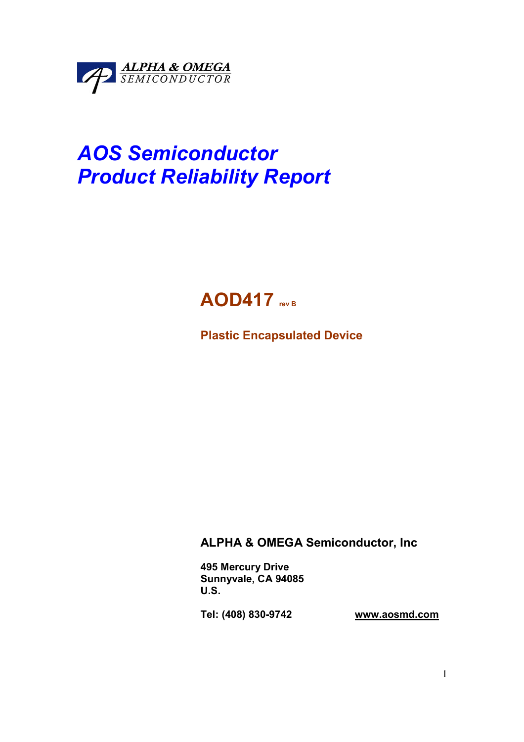

# AOS Semiconductor Product Reliability Report



Plastic Encapsulated Device

## ALPHA & OMEGA Semiconductor, Inc

495 Mercury Drive Sunnyvale, CA 94085 U.S.

Tel: (408) 830-9742 www.aosmd.com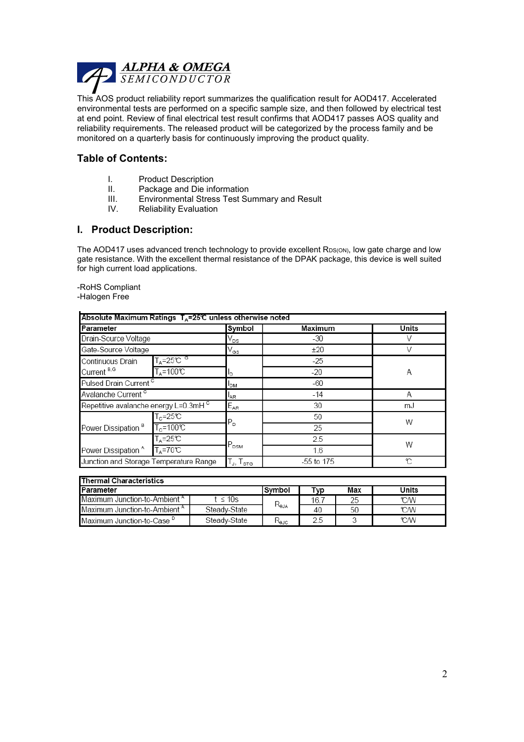

This AOS product reliability report summarizes the qualification result for AOD417. Accelerated environmental tests are performed on a specific sample size, and then followed by electrical test at end point. Review of final electrical test result confirms that AOD417 passes AOS quality and reliability requirements. The released product will be categorized by the process family and be monitored on a quarterly basis for continuously improving the product quality.

#### Table of Contents:

- I. Product Description<br>II. Package and Die inf
- II. Package and Die information<br>III. Environmental Stress Test Su
- III. Environmental Stress Test Summary and Result<br>IV. Reliability Evaluation
- **Reliability Evaluation**

#### I. Product Description:

The AOD417 uses advanced trench technology to provide excellent RDS(ON), low gate charge and low gate resistance. With the excellent thermal resistance of the DPAK package, this device is well suited for high current load applications.

-RoHS Compliant

-Halogen Free

| Absolute Maximum Ratings $T_A = 25^\circ \text{C}$ unless otherwise noted |                    |                                                     |            |       |  |  |
|---------------------------------------------------------------------------|--------------------|-----------------------------------------------------|------------|-------|--|--|
| Parameter                                                                 |                    | Symbol                                              | Maximum    | Units |  |  |
| Drain-Source Voltage                                                      |                    | V <sub>DS</sub>                                     | -30        |       |  |  |
| Gate-Source Voltage                                                       |                    | V <sub>GS</sub>                                     | ±20        | V     |  |  |
| $T_A = 25^{\circ}C$ <sup>G</sup><br>Continuous Drain                      |                    |                                                     | $-25$      |       |  |  |
| Current <sup>B.G</sup><br>$T_{\text{A}} = 100 \text{°C}$                  |                    | Ιb                                                  | $-20$      | Α     |  |  |
| Pulsed Drain Current <sup>c</sup>                                         |                    | <sup>I</sup> DM                                     | $-60$      |       |  |  |
| Avalanche Current <sup>c</sup>                                            |                    | <sup>I</sup> AR                                     | $-14$      | Α     |  |  |
| Repetitive avalanche energy L=0.3mH <sup>c</sup>                          |                    | $E_{AR}$                                            | 30         | mJ    |  |  |
|                                                                           | $T_c = 25C$        | $P_{D}$                                             | 50         | W     |  |  |
| Power Dissipation <sup>B</sup>                                            | $T_c = 100$ °C     |                                                     | 25         |       |  |  |
|                                                                           | $T_A = 25C$        | $P_{DSM}$                                           | 2.5        | W     |  |  |
| Power Dissipation <sup>A</sup>                                            | $T_A = 70^\circ C$ |                                                     | 1.6        |       |  |  |
| Junction and Storage Temperature Range                                    |                    | $\mathsf{T}_{\mathsf{J}},\mathsf{T}_{\textsf{STG}}$ | -55 to 175 | r     |  |  |

| <b>Thermal Characteristics</b>           |              |           |      |       |      |  |  |
|------------------------------------------|--------------|-----------|------|-------|------|--|--|
| <b>Parameter</b>                         | lSvmbol      | Typ       | Max  | Units |      |  |  |
| Maximum Junction-to-Ambient A            | t ≤ 10s      | $R_{eJA}$ | 16.7 | 25    | °CM  |  |  |
| Maximum Junction-to-Ambient <sup>A</sup> | Steady-State |           | 40   | 50    | ℃W   |  |  |
| Maximum Junction-to-Case <sup>D</sup>    | Steady-State | KeJC      | 2.5  |       | °C/W |  |  |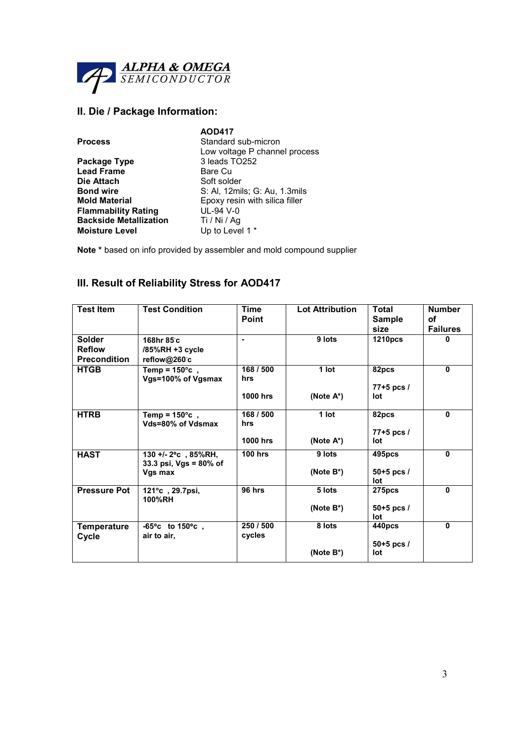

#### II. Die / Package Information:

|                               | <b>AOD417</b>                  |
|-------------------------------|--------------------------------|
| <b>Process</b>                | Standard sub-micron            |
|                               | Low voltage P channel process  |
| Package Type                  | 3 leads TO252                  |
| <b>Lead Frame</b>             | Bare Cu                        |
| Die Attach                    | Soft solder                    |
| <b>Bond wire</b>              | S: Al, 12mils; G: Au, 1.3mils  |
| <b>Mold Material</b>          | Epoxy resin with silica filler |
| <b>Flammability Rating</b>    | UL-94 V-0                      |
| <b>Backside Metallization</b> | Ti / Ni / Ag                   |
| <b>Moisture Level</b>         | Up to Level 1 *                |
|                               |                                |

Note \* based on info provided by assembler and mold compound supplier

### III. Result of Reliability Stress for AOD417

| <b>Test Item</b>                                      | <b>Test Condition</b>                                                 | Time<br><b>Point</b>                | <b>Lot Attribution</b>  | <b>Total</b><br><b>Sample</b><br>size | <b>Number</b><br>οf<br><b>Failures</b> |
|-------------------------------------------------------|-----------------------------------------------------------------------|-------------------------------------|-------------------------|---------------------------------------|----------------------------------------|
| <b>Solder</b><br><b>Reflow</b><br><b>Precondition</b> | 168hr 85°c<br>/85%RH +3 cycle<br>reflow@260°c                         | $\blacksquare$                      | 9 lots                  | <b>1210pcs</b>                        | 0                                      |
| <b>HTGB</b>                                           | Temp = $150^{\circ}$ c,<br>Vgs=100% of Vgsmax                         | 168 / 500<br>hrs<br><b>1000 hrs</b> | 1 lot                   | 82pcs<br>$77+5$ pcs /<br>lot          | $\mathbf{0}$                           |
|                                                       |                                                                       |                                     | (Note A*)               |                                       |                                        |
| <b>HTRB</b>                                           | Temp = $150^{\circ}$ c,<br>Vds=80% of Vdsmax                          | 168 / 500<br>hrs                    | 1 lot                   | 82pcs<br>$77+5$ pcs /                 | 0                                      |
|                                                       |                                                                       | <b>1000 hrs</b>                     | (Note $A^*$ )           | lot                                   |                                        |
| <b>HAST</b>                                           | 130 +/- $2^{\circ}$ c, 85%RH,<br>33.3 psi, $Vgs = 80\%$ of<br>Vgs max | <b>100 hrs</b>                      | 9 lots<br>(Note $B^*$ ) | 495pcs<br>$50+5$ pcs /                | $\mathbf{0}$                           |
|                                                       |                                                                       |                                     |                         | lot                                   |                                        |
| <b>Pressure Pot</b>                                   | 121°c, 29.7psi,<br>100%RH                                             | 96 hrs                              | 5 lots                  | 275pcs                                | $\mathbf{0}$                           |
|                                                       |                                                                       |                                     | (Note $B^*$ )           | $50+5$ pcs /<br>lot                   |                                        |
| Temperature<br>Cycle                                  | $-65^{\circ}$ c to 150 $^{\circ}$ c,<br>air to air,                   | 250 / 500<br>cycles                 | 8 lots                  | 440pcs                                | 0                                      |
|                                                       |                                                                       |                                     | (Note $B^*$ )           | $50+5$ pcs /<br>lot                   |                                        |